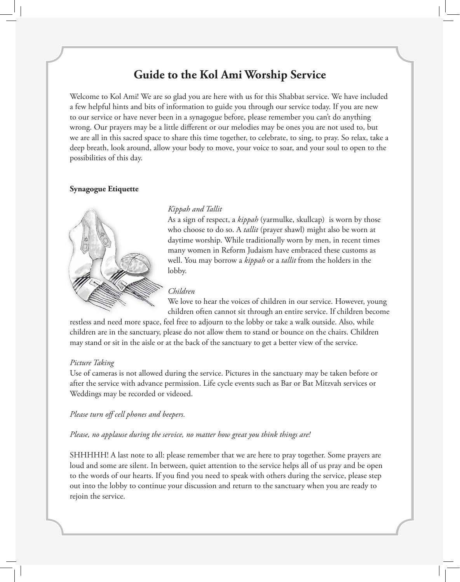# **Guide to the Kol Ami Worship Service**

Welcome to Kol Ami! We are so glad you are here with us for this Shabbat service. We have included a few helpful hints and bits of information to guide you through our service today. If you are new to our service or have never been in a synagogue before, please remember you can't do anything wrong. Our prayers may be a little different or our melodies may be ones you are not used to, but we are all in this sacred space to share this time together, to celebrate, to sing, to pray. So relax, take a deep breath, look around, allow your body to move, your voice to soar, and your soul to open to the possibilities of this day.

# **Synagogue Etiquette**



## *Kippah and Tallit*

As a sign of respect, a *kippah* (yarmulke, skullcap) is worn by those who choose to do so. A *tallit* (prayer shawl) might also be worn at daytime worship. While traditionally worn by men, in recent times many women in Reform Judaism have embraced these customs as well. You may borrow a *kippah* or a *tallit* from the holders in the lobby.

## *Children*

We love to hear the voices of children in our service. However, young children often cannot sit through an entire service. If children become

restless and need more space, feel free to adjourn to the lobby or take a walk outside. Also, while children are in the sanctuary, please do not allow them to stand or bounce on the chairs. Children may stand or sit in the aisle or at the back of the sanctuary to get a better view of the service.

## *Picture Taking*

Use of cameras is not allowed during the service. Pictures in the sanctuary may be taken before or after the service with advance permission. Life cycle events such as Bar or Bat Mitzvah services or Weddings may be recorded or videoed.

*Please turn off cell phones and beepers.*

*Please, no applause during the service, no matter how great you think things are!*

SHHHHH! A last note to all: please remember that we are here to pray together. Some prayers are loud and some are silent. In between, quiet attention to the service helps all of us pray and be open to the words of our hearts. If you find you need to speak with others during the service, please step out into the lobby to continue your discussion and return to the sanctuary when you are ready to rejoin the service.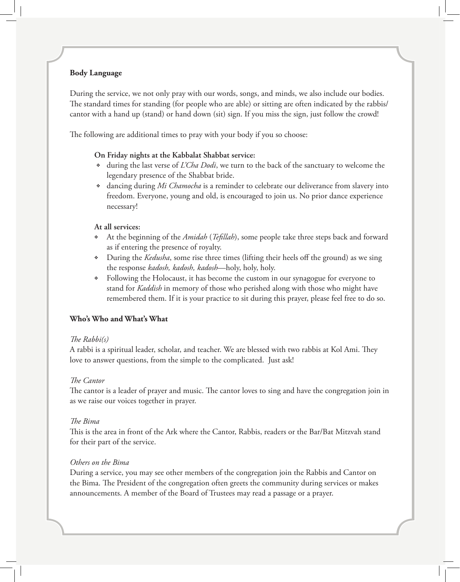# **Body Language**

During the service, we not only pray with our words, songs, and minds, we also include our bodies. The standard times for standing (for people who are able) or sitting are often indicated by the rabbis/ cantor with a hand up (stand) or hand down (sit) sign. If you miss the sign, just follow the crowd!

The following are additional times to pray with your body if you so choose:

# **On Friday nights at the Kabbalat Shabbat service:**

- ❖ during the last verse of *L'Cha Dodi*, we turn to the back of the sanctuary to welcome the legendary presence of the Shabbat bride.
- ❖ dancing during *Mi Chamocha* is a reminder to celebrate our deliverance from slavery into freedom. Everyone, young and old, is encouraged to join us. No prior dance experience necessary!

# **At all services:**

- ❖ At the beginning of the *Amidah* (*Tefillah*), some people take three steps back and forward as if entering the presence of royalty.
- ❖ During the *Kedusha*, some rise three times (lifting their heels off the ground) as we sing the response *kadosh, kadosh, kadosh*—holy, holy, holy.
- ❖ Following the Holocaust, it has become the custom in our synagogue for everyone to stand for *Kaddish* in memory of those who perished along with those who might have remembered them. If it is your practice to sit during this prayer, please feel free to do so.

## **Who's Who and What's What**

## *The Rabbi(s)*

A rabbi is a spiritual leader, scholar, and teacher. We are blessed with two rabbis at Kol Ami. They love to answer questions, from the simple to the complicated. Just ask!

## *The Cantor*

The cantor is a leader of prayer and music. The cantor loves to sing and have the congregation join in as we raise our voices together in prayer.

## *The Bima*

This is the area in front of the Ark where the Cantor, Rabbis, readers or the Bar/Bat Mitzvah stand for their part of the service.

## *Others on the Bima*

During a service, you may see other members of the congregation join the Rabbis and Cantor on the Bima. The President of the congregation often greets the community during services or makes announcements. A member of the Board of Trustees may read a passage or a prayer.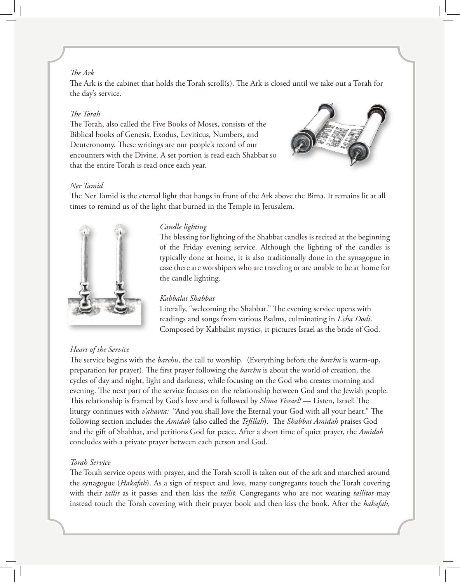# *The Ark*

The Ark is the cabinet that holds the Torah scroll(s). The Ark is closed until we take out a Torah for the day's service.

# *The Torah*

The Torah, also called the Five Books of Moses, consists of the Biblical books of Genesis, Exodus, Leviticus, Numbers, and Deuteronomy. These writings are our people's record of our encounters with the Divine. A set portion is read each Shabbat so that the entire Torah is read once each year.



# *Ner Tamid*

The Ner Tamid is the eternal light that hangs in front of the Ark above the Bima. It remains lit at all times to remind us of the light that burned in the Temple in Jerusalem.



# *Candle lighting*

The blessing for lighting of the Shabbat candles is recited at the beginning of the Friday evening service. Although the lighting of the candles is typically done at home, it is also traditionally done in the synagogue in case there are worshipers who are traveling or are unable to be at home for the candle lighting.

# *Kabbalat Shabbat*

Literally, "welcoming the Shabbat." The evening service opens with readings and songs from various Psalms, culminating in *L'cha Dodi*. Composed by Kabbalist mystics, it pictures Israel as the bride of God.

# *Heart of the Service*

The service begins with the *barchu*, the call to worship. (Everything before the *barchu* is warm-up, preparation for prayer). The first prayer following the *barchu* is about the world of creation, the cycles of day and night, light and darkness, while focusing on the God who creates morning and evening. The next part of the service focuses on the relationship between God and the Jewish people. This relationship is framed by God's love and is followed by *Sh'ma Yisrael!* — Listen, Israel! The liturgy continues with *v'ahavta:* "And you shall love the Eternal your God with all your heart." The following section includes the *Amidah* (also called the *Tefillah*). The *Shabbat Amidah* praises God and the gift of Shabbat, and petitions God for peace. After a short time of quiet prayer, the *Amidah* concludes with a private prayer between each person and God.

# *Torah Service*

The Torah service opens with prayer, and the Torah scroll is taken out of the ark and marched around the synagogue (*Hakafah*). As a sign of respect and love, many congregants touch the Torah covering with their *tallit* as it passes and then kiss the *tallit*. Congregants who are not wearing *tallitot* may instead touch the Torah covering with their prayer book and then kiss the book. After the *hakafah*,